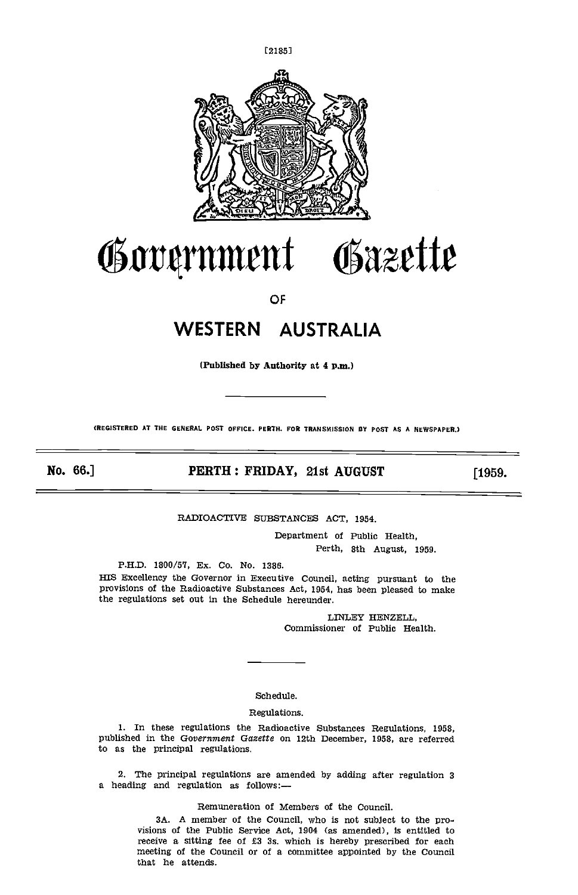

# Government Osazette

OF

# WESTERN AUSTRALIA

(Published by Authority at 4 p.m.)

(REGISTERED AT THE GENERAL POST OFFICE. PERTH, FOR TRANSMISSION DY POST AS A NEWSPAPER.)

No. 66.] **PERTH: FRIDAY, 21st AUGUST** [1959.

RADIOACTIVE SUBSTANCES ACT, 1954.

Department of Public Health, Perth, 8th August, 1959.

P.H.D. 1800/51, Ex. Co. No. 1386.

HIS Excellency the Governor in Executive Council, acting pursuant to the provisions of the Radioactive Substances Act, 1954, has been pleased to make the regulations set out In the Schedule hereunder.

> LINLEY HENZELL Commissioner of Public Health.

# Schedule.

### Regulations.

In these regulations the Radioactive Substances Regulations, 1958, published in the Government Gazette on 12th December, 1958, are referred to as the principal regulations.

The principal regulations are amended by adding after regulation 3 a heading and regulation as follows:

Remuneration of Members of the Council.

3A. A member of the Council, who is not subject to the provisions of the Public Service Act, 1904 (as amended), is entitled to receive a sitting fee of £3 3s. which is hereby prescribed for each meeting of the Council or of a committee appointed by the Council that he attends.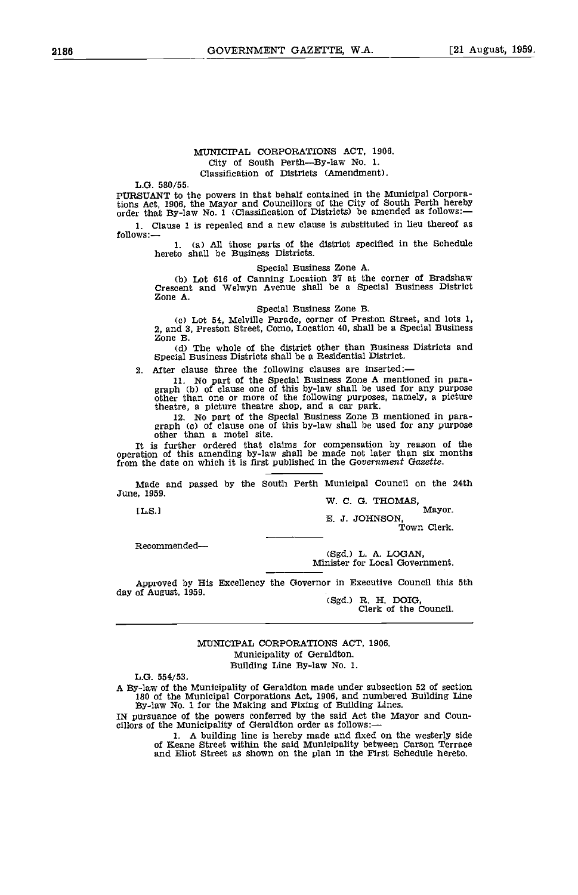#### MUNICIPAL CORPORATIONS ACT, 1906. City of South Perth---By-law No. 1. Classification of Districts (Amendment).

L.G. 580/55.

PURSUANT to the powers in that behalf contained In the Municipal Corporations Act, 1906, the Mayor and Councillors of the City of South Perth hereby order that By-law No. 1 (classification of Districts) be amended as follows:- 1. Clause 1 is repealed and a new clause is substituted in lieu thereof as follows:-

1. (a) All those parts of the district specified In the Schedule hereto shall be Business Districts.

#### Special Business Zone A.

Lot 616 of Calming Location 37 at the corner of Bradshaw Crescent and Welwyn Avenue shall be a Special Business District Zone A.

Special Business Zone B.

Lot 54, Melville Parade, corner of Preston Street, and lots 1, 2, and 3, Preston Street, Como, Location 40 shall be a Special Business Zone B.

The whole of the district other than Business Districts and Special Business Districts shall be a Residential District.

2, After clause three the following clauses are inserted:-

11. No part of the Special Business Zone A mentioned in paragraph (b) of clause one of this by-law shall be used for any purpose other than one or more of the following purposes, namely, a picture theatre, a picture theatre shop, and a car park.

12. No part of the Special Business Zone B mentioned in para-<br>graph (c) of clause one of this by-law shall be used for any purpose<br>other than a motel site.

It is further ordered that claims for compensation by reason of the operation of this amending by-law shall be made not later than six months from the date on which it is first published in the Government Gazette.

Made and passed by the South Perth Municipal Council on the 24th

W. C. G. THOMAS, [L.S.] W. C. G. THOMAS, Mayor.

E. J. JOHNSON,

Town Clerk.

Recommended-

(Sgd.) L. A. LOGAN, Minister for Local Government.

Approved by His Excellency the Governor in Executive Council this 5th day of August, 1959.<br>(Sgd.) R. H. DOIG, Clerk of the Council.

MUNICIPAL CORPORATIONS ACT, 1906. Municipality of Geraldton. Building Line By-law No. 1.

L.G. 554/53.<br>A By-law of the Municipality of Geraldton made under subsection 52 of section A By-law of the Municipality of Geraldton made under subsection 52 of section 180 of the Municipal Corporations Act, 1906, and numbered Building Line By-law No, 1 for the Making and Fixing of Building Lines.

IN pursuance of the powers conferred by the said Act the Mayor and Coun-cillors of the Municipality of Geraldton order as follows:-

1. A building line is hereby made and fixed on the westerly side of Keane Street within the said Municipality between Carson Terrace and Eliot Street as shown on the plan in the First Schedule hereto.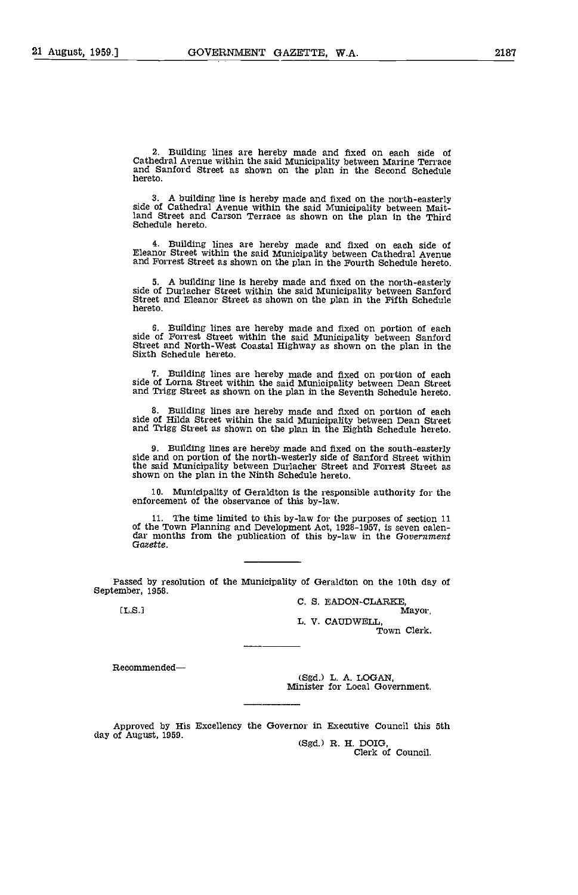Building lines are hereby made and fixed on each side of Cathedral Avenue within the said Municipality between Marine Terrace and Sanford Street as shown on the plan in the Second Schedule hereto.

A building line is hereby made and fixed on the north-easterly side of Cathedral Avenue within the said Municipality between Maitland Street and Carson Terrace as shown on the plan in the Third Schedule hereto.

Building lines are hereby made and fixed on each side of Eleanor Street within the said Municipality between Cathedral Avenue and Forrest Street as shown on the plan in the Fourth Schedule hereto.

A building line is hereby made and fixed on the north-easterly side of Durlacher Street within the said Municipality between Sanford Street and Eleanor Street as shown on the plan in the Fifth Schedule hereto.

Building lines are hereby made and fixed on portion of each side of Forrest Street within the said Municipality between Sanford Street and North-west Coastal Highway as shown on the plan In the Sixth Schedule hereto.

Building lines are hereby made and fixed on portion of each side of Lorna Street within the said Municipality between Dean Street and Trlgg Street as shown on the plan in the Seventh Schedule hereto.

Building lines are hereby made and fixed on portion of each side of Hilda Street within the said Municipality between Dean Street and Trigg Street as shown on the plan in the Eighth Schedule hereto.

Building lines are hereby made and fixed on the south-easterly side and on portion of the north-westerly side of Sanford Street within the said Municipality between Durlacher Street and Forrest Street as shown on the plan in the Ninth Schedule hereto.

Municipality of Geraldton is the responsible authority for the enforcement of the observance of this by-law.

The time limited to this by-law for the purposes of section 11 of the Town Planning and Development Act, 1928-1957, is seven calen-<br>dar months from the publication of this by-law in the Government<br>Gazette.

Passed by resolution of the Municipality of Geraldton on the 10th day of September, 1958.

C. S. EADON-CLARKE,<br>Mayor

[L.S.} Mayor. L. V. CAUDWELL

Town Clerk.

Recommended

(Sgd.) L. A. LOGAN, Minister for Local Government.

Approved by His Excellency the Governor in Executive Council this 5th day of August, 1959. day of August, 1959.<br>
(Sgd.) R. H. DOIG,<br>
Clerk of Council.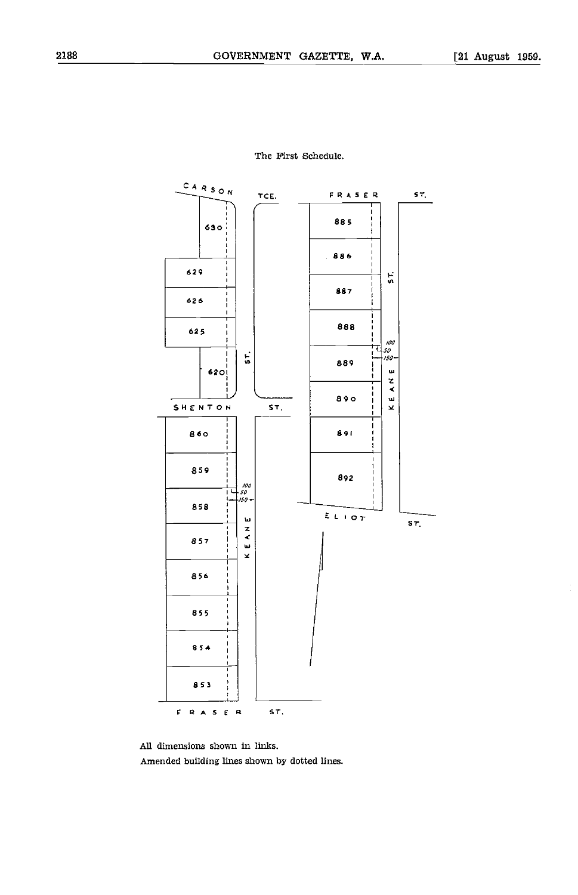

The First Schedule.

All dimensions shown in links. Amended building lines shown by dotted lines.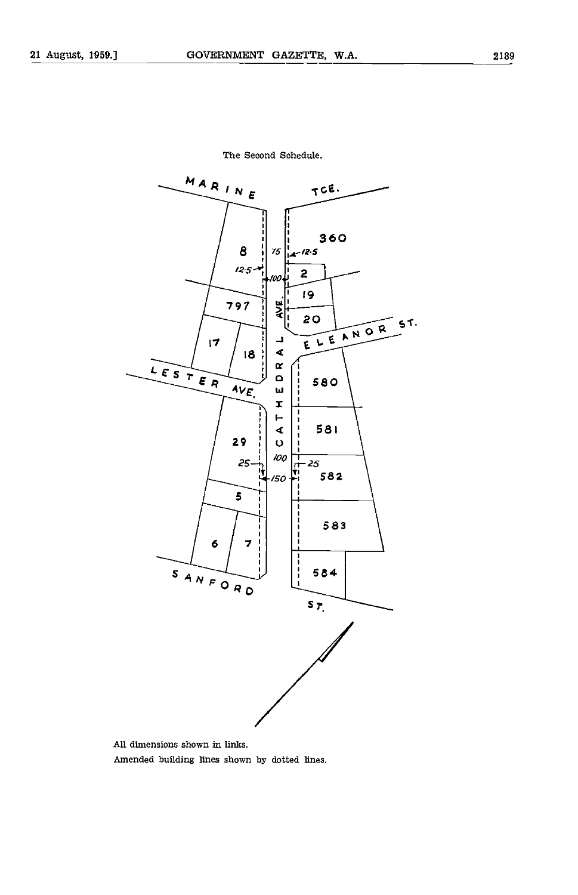The Second Schedule.



All dimensions shown in links. Amended building lines shown by dotted lines.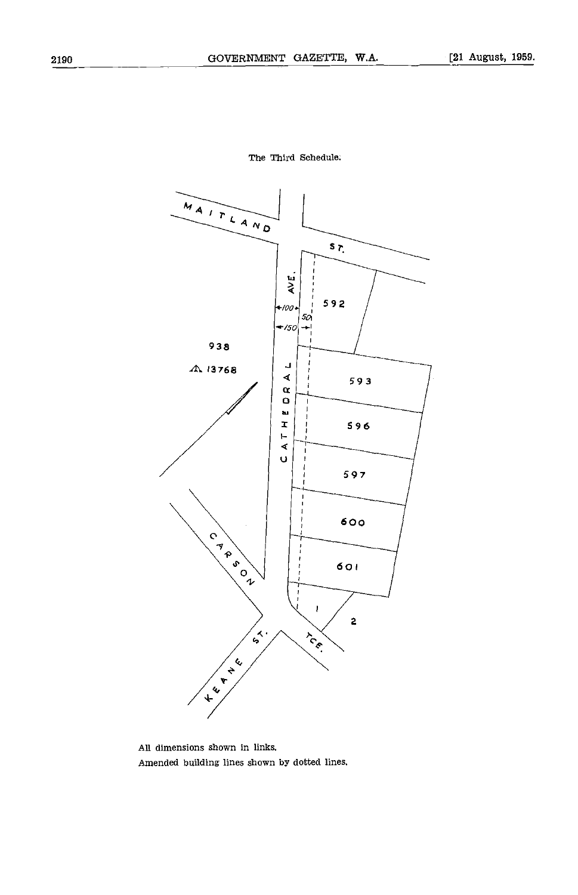The Third Schedule:



All dimensions shown in links. Amended building lines shown by dotted lines.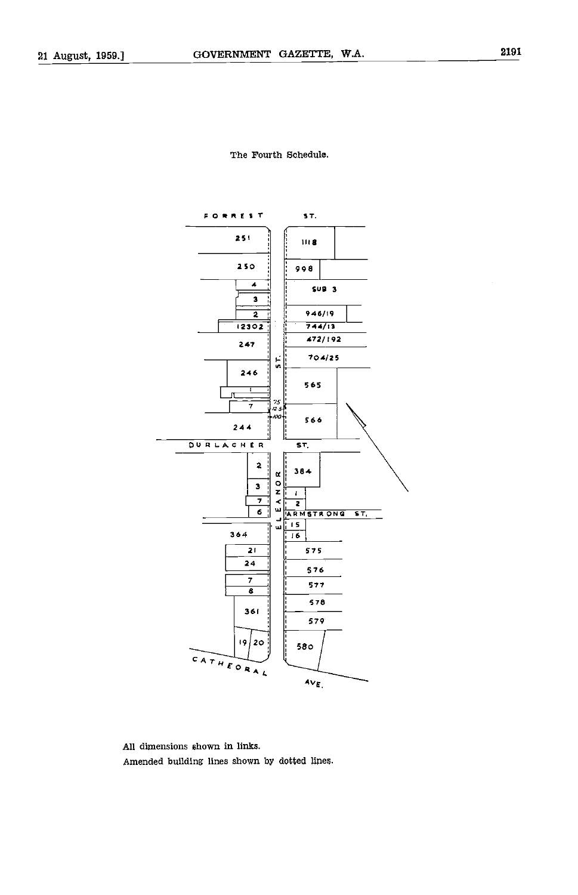

All dimensions shown in links. Amended building lines shown by dotted lines.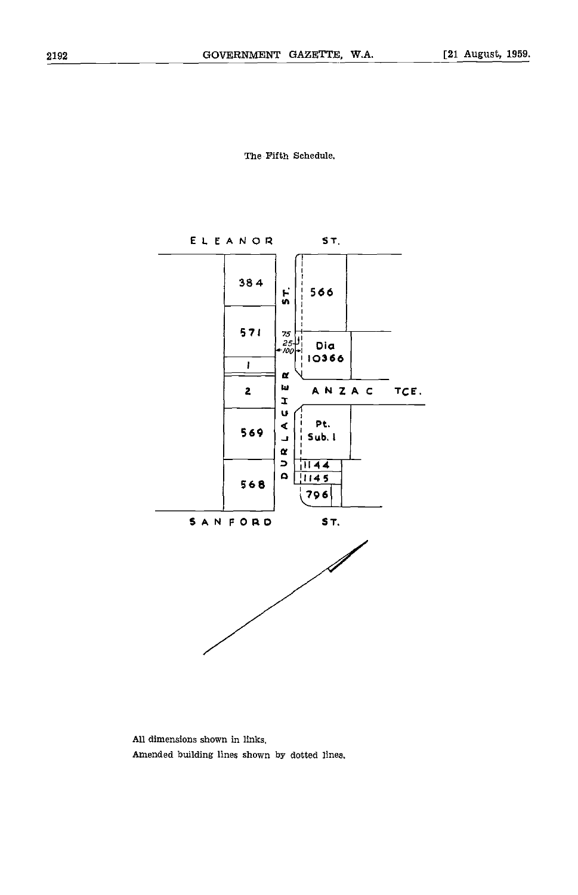The Fifth Schedule.



All dimensions shown in links. Amended building lines shown by dotted lines.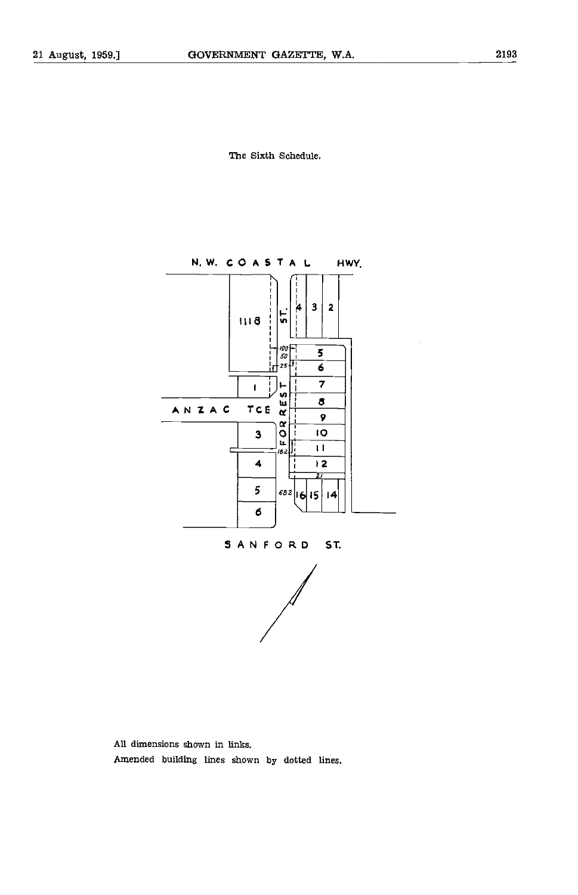The Sixth Schedule.



All dimensions shown in links. Amended building lines shown by dotted lines.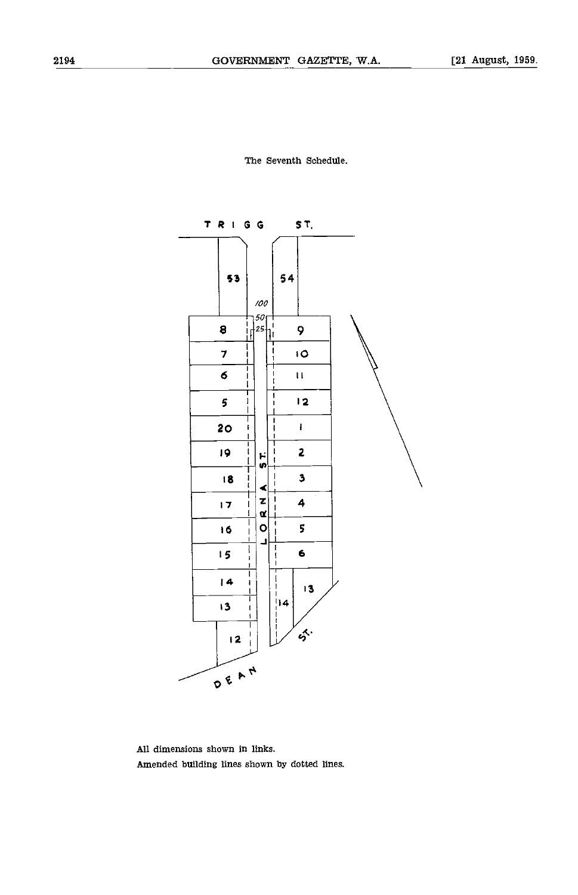The Seventh Schedule.



All dimensions shown in links. Amended building lines shown by dotted lines.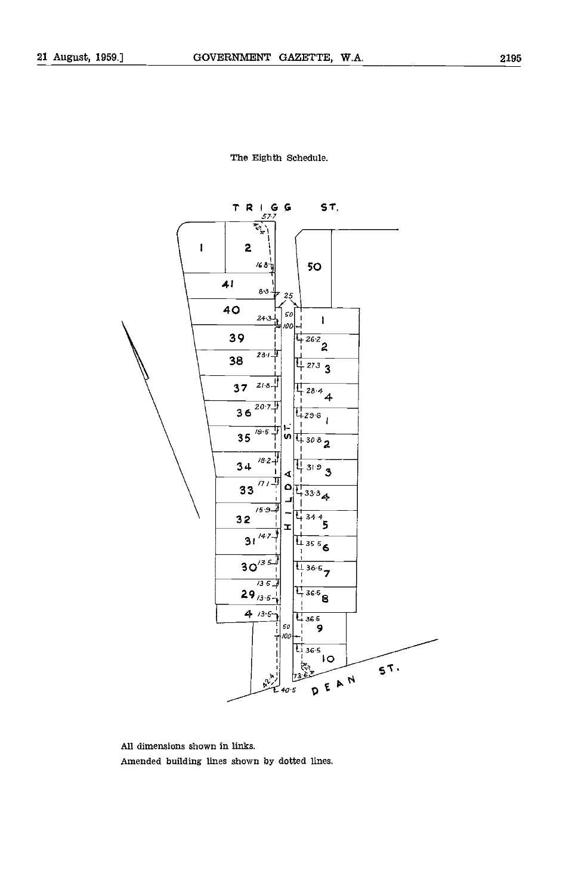The Eighth Schedule.



All dimensions shown in links. Amended building lines shown by dotted lines.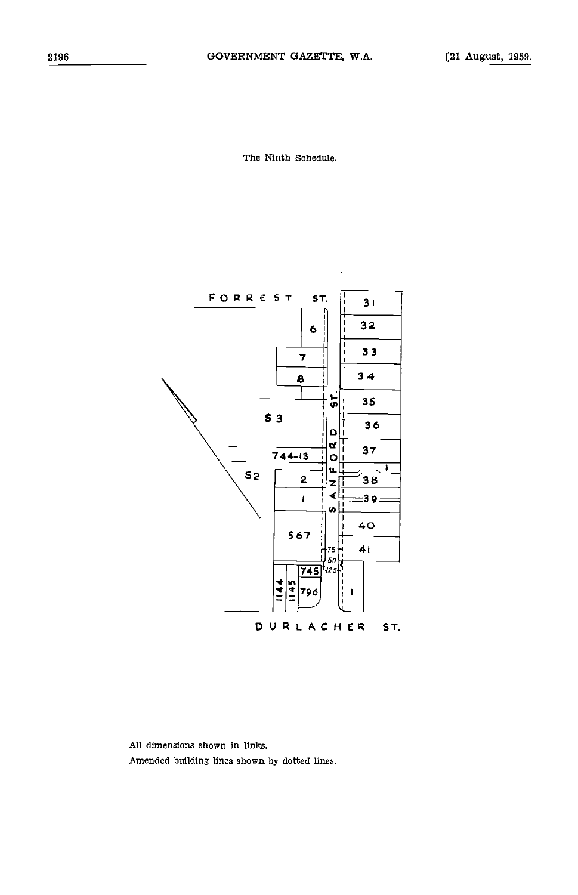[21 August, 1959.

The Ninth Schedule.



All dimensions shown in links. Amended building lines shown by dotted lines.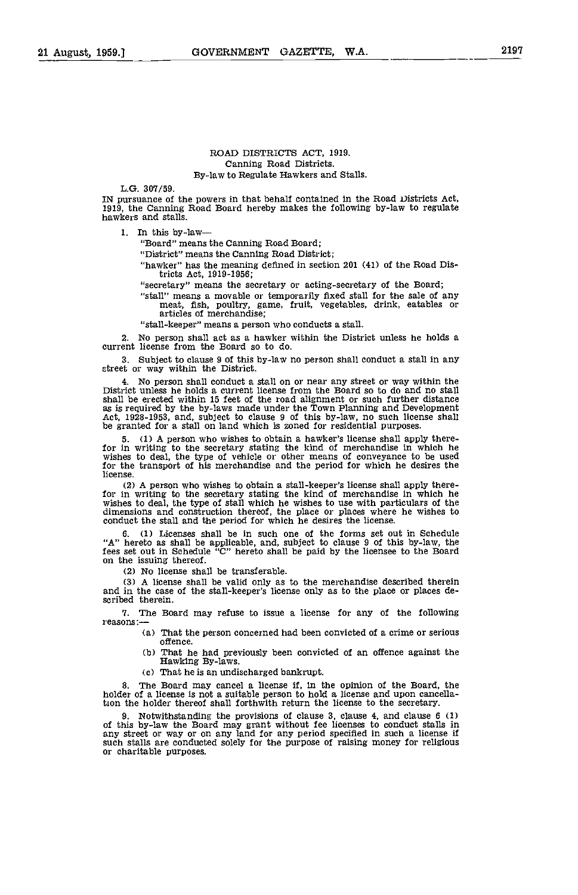L.G. 307/59.

IN pursuance of the powers in that behalf contained in the Road Districts Act, 1919, the Canning Road Board hereby makes the following by-law to regulate hawkers and stalls.

1. In this by-law

"Board" means the Canning Road Board;

"District" means the Canning Road District;

"hawker" has the meaning defined in section 201 (41) of the Road Districts Act, 1919-1956;

"secretary" means the secretary or acting-secretary of the Board;<br>"stall" means a movable or temporarily fixed stall for the sale of any "statle of means a movement of the sale of meat, fish, poultry, game, fruit, vegetables, drink, eatables or articles of merchandise;

"stall-keeper" means a person who conducts a stall.

2. No person shall act as a hawker within the District unless he holds a current license from the Board so to do.

3. Subject to clause 9 of this by-law no person shall conduct a stall in any street or way within the District.

4. No person shall conduct a stall on or near any street or way within the District unless he holds a current license from the Board so to do and no stall shall be erected within 15 feet of the road alignment or such further distance Act, 1928-1953, and, subject to clause 9 of this by-law, no such license shall be granted for a stall on land which is zoned for residential purposes.

5. (1) A person who wishes to obtain a hawker's license shall apply there-<br>for in writing to the secretary stating the kind of merchandise in which he<br>wishes to deal, the type of vehicle or other means of conveyance to be for the transport of his merchandise and the period for which he desires the license.

(2) A person who wishes to obtain a stall-keeper's license shall apply there-<br>for in writing to the secretary stating the kind of merchandise in which he<br>wishes to deal, the type of stall which he wishes to use with partic conduct the stall and the period for which he desires the license.

6. (1) Licenses shall be in such one of the forms set out in Schedule "A" hereto as shall be applicable, and, subject to clause 9 of this by-law, the fees set out in Schedule "C" hereto shall be paid by the licensee to the Board on the issuing thereof.

(2) No license shall be transferable.

A license shall be valid only as to the merchandise described therein and in the case of the stall-keeper's license only as to the place or places de- scribed therein.

7. The Board may refuse to issue a license for any of the following reasons :-

That the person concerned had been convicted of a crime or serious offence.

That he had previously been convicted of an offence against the Hawking By-laws.

That he is an undischarged bankrupt.

8. The Board may cancel a license if, in the opinion of the Board, the holder of a license is not a suitable person to hold a license and upon cancellation the holder thereof shall forthwith return the license to the secre

9. Notwithstanding the provisions of clause 3, clause 4, and clause 6 (1) of this by-law the Board may grant without fee licenses to conduct stalls in any street or way or on any land for any period specified in such a license if such stalls are conducted solely for the purpose of raising money for religious or charitable purposes.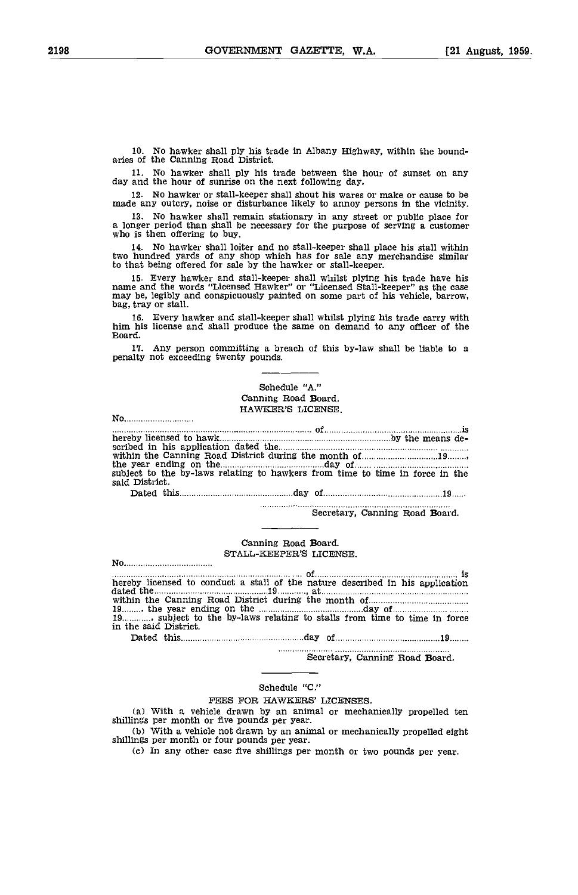No hawker shall ply his trade in Albany Highway, within the bound- aries of the Canning Road District.

11. No hawker shall ply his trade between the hour of sunset on any day and the hour of sunrise on the next following day.

12. No hawker or stall-keeper shall shout his wares or make or cause to be made any outcry, noise or disturbance likely to annoy persons in the vicinity.

No hawker shall remain stationary in any street or public place for a longer period than shall be necessary for the purpose of serving a customer who is then offering to buy.

No hawker shall loiter and no stall-keeper shall place his stall within two hundred yards of any shop which has for sale any merchandise similar to that being offered for sale by the hawker or stall-keeper.

15. Every hawker and stall-keeper shall whilst plying his trade have his name and the words "Licensed Hawker" or "Licensed Stall-keeper" as the case may be, legibly and conspicuously painted on some part of his vehicle, ba

Every hawker and stall-keeper shall whilst plying his trade carry with him his license and shall produce the same on demand to any officer of the Board

Any person committing a breach of this by-law shall be liable to a penalty not exceeding twenty pounds.

# Schedule "A." Canning Road Board. HAWKER'S LICENSE.

No.............................

No

of is hereby licensed to hawk by the means de-<br>scribed in his application dated the within the Canning Road District during the month of 19 minutes of 19 minutes the year ending on the day of subject to the by-laws relating to hawkers from time to time in force in the said District. Dated this 19.11.19.12.19.12.19.12.19.12.19.12.19.12.19.12.19.12.19.12.19.12.19.12.19.12.19.12.19.12.12.12.12.

> Secretary, Canning Road Board

# Canning Road Board. STALL-KEEPER'S LICENSE.

of is hereby licensed to conduct a stall of the nature described in his application dated the 19 million 19 , at at within the Canning Road District during the month of  $\ldots$ <sup>19</sup> , the year ending on the day of 19..........., subject to the by-laws relating to stalls from time to time in force in the said District.

Dated this day of 19

Secretary, Canning Road Board.

# Schedule "C."

#### FEES FOR HAWKERS' LICENSES.

With a vehicle drawn by an animal or mechanically propelled ten shillings per month or five pounds per year.

With a vehicle not drawn by an animal or mechanically propelled eight shillings per month or four pounds per year.

In any other case five shillings per month or two pounds per year.